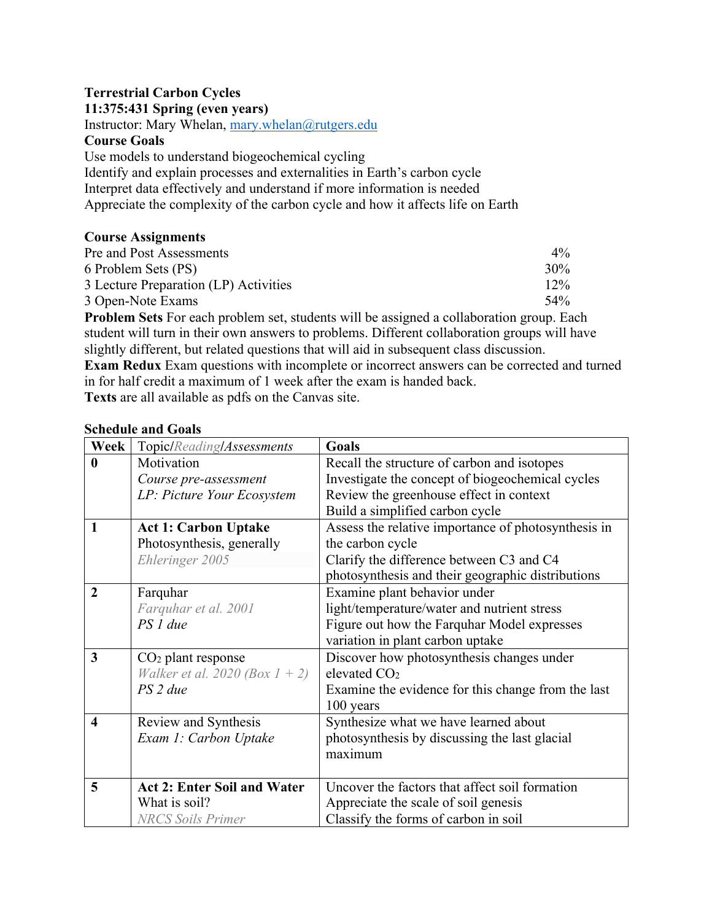# **Terrestrial Carbon Cycles**

**11:375:431 Spring (even years)**

Instructor: Mary Whelan, mary.whelan@rutgers.edu

### **Course Goals**

Use models to understand biogeochemical cycling

Identify and explain processes and externalities in Earth's carbon cycle Interpret data effectively and understand if more information is needed Appreciate the complexity of the carbon cycle and how it affects life on Earth

## **Course Assignments**

| Pre and Post Assessments                                                                       | $4\%$  |
|------------------------------------------------------------------------------------------------|--------|
| 6 Problem Sets (PS)                                                                            | 30%    |
| 3 Lecture Preparation (LP) Activities                                                          | $12\%$ |
| 3 Open-Note Exams                                                                              | $54\%$ |
| <b>Problem Sets</b> For each problem set, students will be assigned a collaboration group. Fac |        |

**Problem Sets** For each problem set, students will be assigned a collaboration group. Each student will turn in their own answers to problems. Different collaboration groups will have slightly different, but related questions that will aid in subsequent class discussion.

**Exam Redux** Exam questions with incomplete or incorrect answers can be corrected and turned in for half credit a maximum of 1 week after the exam is handed back.

**Texts** are all available as pdfs on the Canvas site.

### **Schedule and Goals**

| Week                    | Topic/Reading/Assessments             | Goals                                               |
|-------------------------|---------------------------------------|-----------------------------------------------------|
| $\boldsymbol{0}$        | Motivation                            | Recall the structure of carbon and isotopes         |
|                         | Course pre-assessment                 | Investigate the concept of biogeochemical cycles    |
|                         | LP: Picture Your Ecosystem            | Review the greenhouse effect in context             |
|                         |                                       | Build a simplified carbon cycle                     |
| $\mathbf{1}$            | <b>Act 1: Carbon Uptake</b>           | Assess the relative importance of photosynthesis in |
|                         | Photosynthesis, generally             | the carbon cycle                                    |
|                         | Ehleringer 2005                       | Clarify the difference between C3 and C4            |
|                         |                                       | photosynthesis and their geographic distributions   |
| $\overline{2}$          | Farquhar                              | Examine plant behavior under                        |
|                         | Farquhar et al. 2001                  | light/temperature/water and nutrient stress         |
|                         | PS 1 due                              | Figure out how the Farquhar Model expresses         |
|                         |                                       | variation in plant carbon uptake                    |
| $\overline{3}$          | $CO2$ plant response                  | Discover how photosynthesis changes under           |
|                         | <i>Walker et al. 2020 (Box 1 + 2)</i> | elevated CO <sub>2</sub>                            |
|                         | PS 2 due                              | Examine the evidence for this change from the last  |
|                         |                                       | 100 years                                           |
| $\overline{\mathbf{4}}$ | Review and Synthesis                  | Synthesize what we have learned about               |
|                         | Exam 1: Carbon Uptake                 | photosynthesis by discussing the last glacial       |
|                         |                                       | maximum                                             |
|                         |                                       |                                                     |
| 5                       | <b>Act 2: Enter Soil and Water</b>    | Uncover the factors that affect soil formation      |
|                         | What is soil?                         | Appreciate the scale of soil genesis                |
|                         | <b>NRCS Soils Primer</b>              | Classify the forms of carbon in soil                |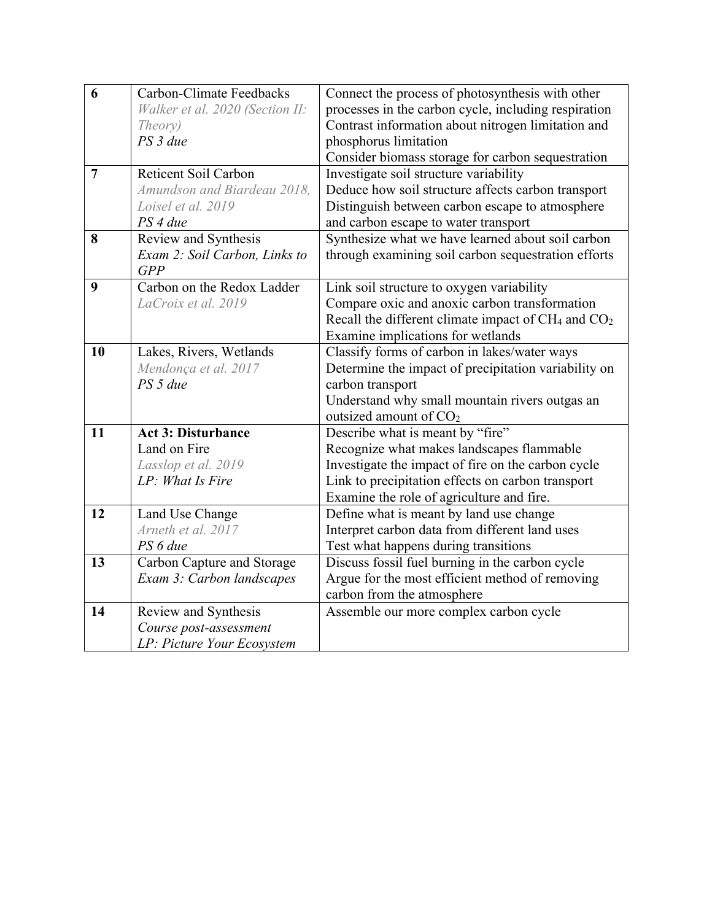| 6              | Carbon-Climate Feedbacks        | Connect the process of photosynthesis with other         |
|----------------|---------------------------------|----------------------------------------------------------|
|                | Walker et al. 2020 (Section II: | processes in the carbon cycle, including respiration     |
|                | Theory)                         | Contrast information about nitrogen limitation and       |
|                | PS 3 due                        | phosphorus limitation                                    |
|                |                                 | Consider biomass storage for carbon sequestration        |
| $\overline{7}$ | <b>Reticent Soil Carbon</b>     | Investigate soil structure variability                   |
|                | Amundson and Biardeau 2018,     | Deduce how soil structure affects carbon transport       |
|                | Loisel et al. 2019              | Distinguish between carbon escape to atmosphere          |
|                | PS 4 due                        | and carbon escape to water transport                     |
| 8              | Review and Synthesis            | Synthesize what we have learned about soil carbon        |
|                | Exam 2: Soil Carbon, Links to   | through examining soil carbon sequestration efforts      |
|                | GPP                             |                                                          |
| 9              | Carbon on the Redox Ladder      | Link soil structure to oxygen variability                |
|                | LaCroix et al. 2019             | Compare oxic and anoxic carbon transformation            |
|                |                                 | Recall the different climate impact of $CH_4$ and $CO_2$ |
|                |                                 | Examine implications for wetlands                        |
| 10             | Lakes, Rivers, Wetlands         | Classify forms of carbon in lakes/water ways             |
|                | Mendonça et al. 2017            | Determine the impact of precipitation variability on     |
|                | PS 5 due                        | carbon transport                                         |
|                |                                 | Understand why small mountain rivers outgas an           |
|                |                                 | outsized amount of $CO2$                                 |
| 11             | <b>Act 3: Disturbance</b>       | Describe what is meant by "fire"                         |
|                | Land on Fire                    | Recognize what makes landscapes flammable                |
|                | Lasslop et al. 2019             | Investigate the impact of fire on the carbon cycle       |
|                | LP: What Is Fire                | Link to precipitation effects on carbon transport        |
|                |                                 | Examine the role of agriculture and fire.                |
| 12             | Land Use Change                 | Define what is meant by land use change                  |
|                | Arneth et al. 2017              | Interpret carbon data from different land uses           |
|                | PS 6 due                        | Test what happens during transitions                     |
| 13             | Carbon Capture and Storage      | Discuss fossil fuel burning in the carbon cycle          |
|                | Exam 3: Carbon landscapes       | Argue for the most efficient method of removing          |
|                |                                 | carbon from the atmosphere                               |
| 14             | Review and Synthesis            | Assemble our more complex carbon cycle                   |
|                | Course post-assessment          |                                                          |
|                | LP: Picture Your Ecosystem      |                                                          |